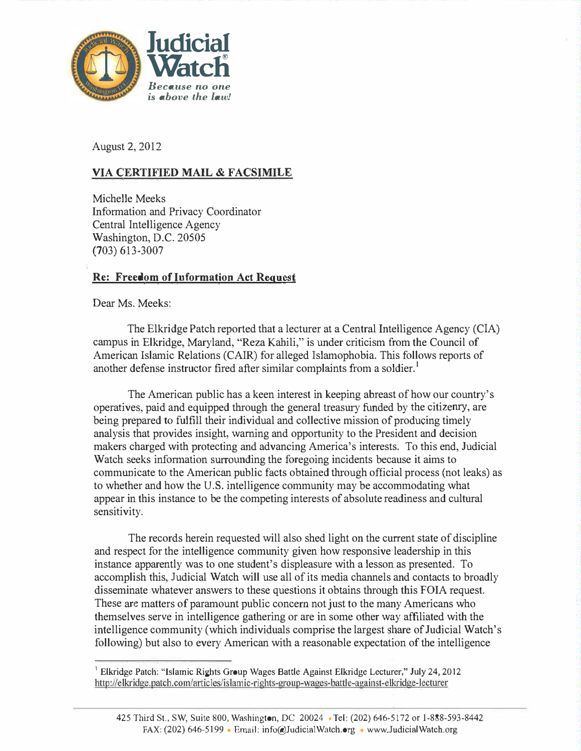

August 2, 2012

### VIA CERTIFIED MAIL & FACSIMILE

Michelle Meeks Information and Privacy Coordinator Central Intelligence Agency Washington, D.C. 20505 (703) 613·3007

### <u>Re: Freedom of Information Act Request</u>

Dear Ms. Meeks:

The Elkridge Patch reported that a lecturer at a Central Intelligence Agency (CIA) campus in Elkridge, Maryland, "Reza Kahili," is under criticism from the Council of American Islamic Relations (CAIR) for alleged Islamophobia. This follows reports of another defense instructor fired after similar complaints from a soldier.<sup>1</sup>

The American public has a keen interest in keeping abreast of how our country's operatives, paid and equipped through the general treasmy funded by the citizeruy, are being prepared to fulfill their individual and collective mission of producing timely analysis that provides insight, warning and opportunity to the President and decision makers charged with protecting and advancing America's interests. To this end, Judicial Watch seeks information surrounding the foregoing incidents because it aims to communicate to the American public facts obtained through official process (not leaks) as to whether and how the U.S. intelligence community may be accommodating what appear in this instance to be the competing interests of absolute readiness and cultural sensitivity.

The records herein requested will also shed light on the current state of discipline and respect for the intelligence community given how responsive leadership in this instance apparently was to one student's displeasure with a lesson:as presented. To accomplish this, Judicial Watch will use all of its media channels and contacts to broadly disseminate whatever answers to these questions it obtains through this FOIA request. These are matters of paramount public concern not just to the many Americans who themselves serve in intelligence gathering or are in some other way affiliated with the intelligence community (which individuals comprise the largest share of Judicial Watch's following) but also to every American with a reasonable expectation of the intelligence

http://elkridge.patch.com/articles/islamic-rights-group-wages-battle-against-elkridge-lecturer <sup>1</sup> Elkridge Patch: "Islamic Rights Group Wages Battle Against Elkridge Lecturer," July 24, 2012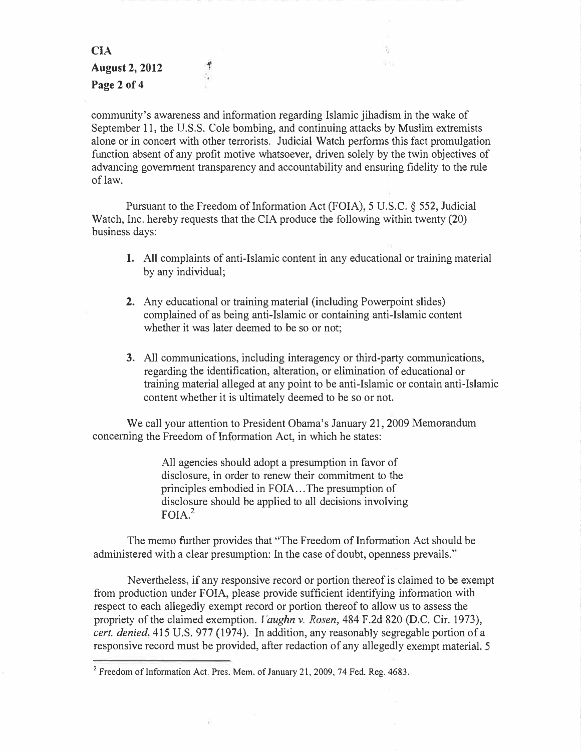CIA ·. August 2, 2012 Page 2 of 4

٠۴ ä.

community's awareness and information regarding Islamic jihadism in the wake of September 11, the U.S.S. Cole bombing, and continuing attacks by Muslim extremists alone or in concert with other terrorists. Judicial Watch performs this fact promulgation function absent of any profit motive whatsoever, driven solely by the twin objectives of advancing government transparency and accountability and ensuring fidelity to the rule of law.

841

Pursuant to the Freedom of Information Act (FOIA), 5 U.S.C.  $\S$  552, Judicial Watch, Inc. hereby requests that the CIA produce the following within twenty (20) business days:

- 1. All complaints of anti-Islamic content in any educational or training material by any individual;
- 2. Any educational or training material (including Powerpoint slides) complained of as being anti-Islamic or containing anti-Islamic content whether it was later deemed to be so or not;
- 3. All communications, including interagency or third-party communications, regarding the identification, alteration, or elimination of educational or training material alleged at any point to be anti-Islamic or contain anti-Islamic content whether it is ultimately deemed to be so or not.

We call your attention to President Obama's January 21, 2009 Memorandum concerning the Freedom of Information Act, in which he states:

> All agencies should adopt a presumption in favor of disclosure, in order to renew their commitment to the principles embodied in FOIA ... The presumption of disclosure should be applied to all decisions involving  $F O I A^2$

The memo further provides that ''The Freedom of Information Act should be administered with a clear presumption: In the case of doubt, openness prevails."

Nevertheless, if any responsive record or portion thereof is claimed to be exempt from production under FOIA, please provide sufficient identifying information with respect to each allegedly exempt record or portion thereof to allow us to assess the propriety of the claimed exemption. Vaughn v. Rosen, 484 F.2d 820 (D.C. Cir. 1973),  $cert.$  denied,  $415$  U.S.  $977$  (1974). In addition, any reasonably segregable portion of a responsive record must be provided, after redaction of any allegedly exempt material. 5

<sup>&</sup>lt;sup>2</sup> Freedom of Information Act. Pres. Mem. of January 21, 2009, 74 Fed. Reg. 4683.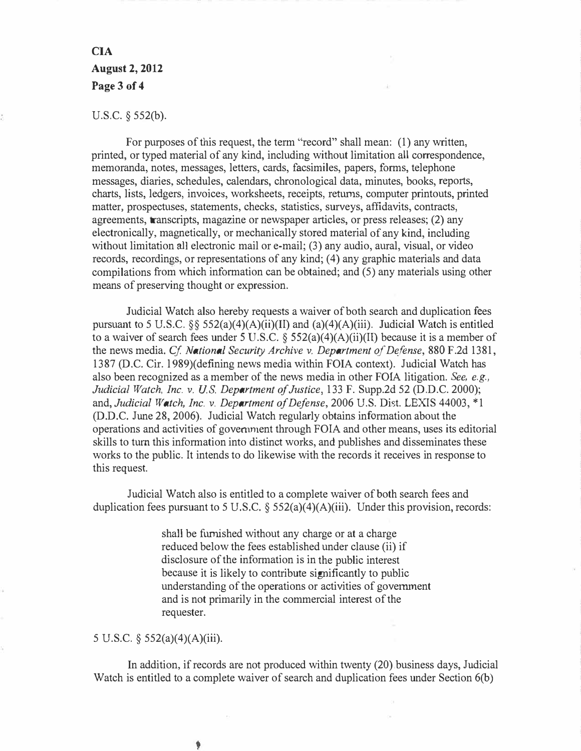# CIA August 2, 2012 Page 3 of 4

#### U.S.C. § 552(b).

For purposes of this request, the term "record" shall mean: (1) any written. printed, or typed material of any kind, including without limitation all correspondence, memoranda, notes, messages, letters, cards, facsimiles, papers, forms, telephone messages, diaries, schedules, calendars, chronological data, minutes, books, reports, charts, lists, ledgers, invoices, worksheets, receipts, returns, computer printouts, printed matter, prospectuses, statements, checks, statistics, surveys, affidavits, contracts, agreements, transcripts, magazine or newspaper articles, or press releases; (2) any electronically, magnetically, or mechanically stored material of any kind, including without limitation all electronic mail or e-mail; (3) any audio, aural, visual, or video records, recordings, or representations of any kind; (4) any graphic materials and data compilations from which information can be obtained; and (5) any materials using other means of preserving thought or expression.

Judicial Watch also hereby requests a waiver of both search and duplication fees pursuant to 5 U.S.C.  $\&$  552(a)(4)(A)(ii)(II) and (a)(4)(A)(iii). Judicial Watch is entitled to a waiver of search fees under 5 U.S.C.  $\frac{552(a)(4)(A)(ii)}{I}$  because it is a member of the news media. Cf. National Security Archive v. Department of Defense, 880 F.2d 1381, 1387 (D.C. Cir. l 989)(defining news media within FOIA context). Judicial Watch has also been recognized as a member of the news media in other FOIA litigation. See, e.g., Judicial Watch, Inc. v. U.S. Department of Justice, 133 F. Supp.2d 52 (D.D.C. 2000); and, Judicial Watch, Inc. v. Department of Defense, 2006 U.S. Dist. LEXIS 44003, \*1 (D.D.C. June 28, 2006). Judicial Watch regularly obtains information about the operations and activities of government through FOIA and other means, uses its editorial skills to turn this information into distinct works, and publishes and disseminates these works to the public. It intends to do likewise with the records it receives in response to this request.

Judicial Watch also is entitled to a complete waiver of both search fees and duplication fees pursuant to 5 U.S.C.  $\S$  552(a)(4)(A)(iii). Under this provision, records:

> shall be furnished without any charge or at a charge reduced below the fees established under clause (ii) if disclosure of the information is in the public interest because it is likely to contribute significantly to public understanding of the operations or activities of government and is not primarily in the commercial interest of the requester.

### 5 U.S.C. § 552(a)(4)(A)(iii).

In addition, if records are not produced within twenty (20),business days, Judicial Watch is entitled to a complete waiver of search and duplication fees under Section 6(b)

۱